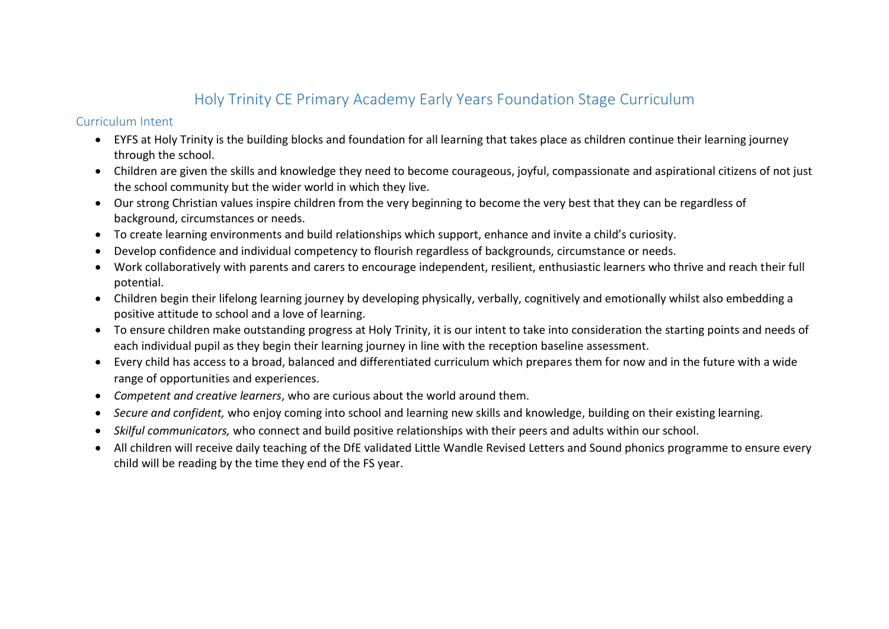# Holy Trinity CE Primary Academy Early Years Foundation Stage Curriculum

## Curriculum Intent

- EYFS at Holy Trinity is the building blocks and foundation for all learning that takes place as children continue their learning journey through the school.
- Children are given the skills and knowledge they need to become courageous, joyful, compassionate and aspirational citizens of not just the school community but the wider world in which they live.
- Our strong Christian values inspire children from the very beginning to become the very best that they can be regardless of background, circumstances or needs.
- To create learning environments and build relationships which support, enhance and invite a child's curiosity.
- Develop confidence and individual competency to flourish regardless of backgrounds, circumstance or needs.
- Work collaboratively with parents and carers to encourage independent, resilient, enthusiastic learners who thrive and reach their full potential.
- Children begin their lifelong learning journey by developing physically, verbally, cognitively and emotionally whilst also embedding a positive attitude to school and a love of learning.
- To ensure children make outstanding progress at Holy Trinity, it is our intent to take into consideration the starting points and needs of each individual pupil as they begin their learning journey in line with the reception baseline assessment.
- Every child has access to a broad, balanced and differentiated curriculum which prepares them for now and in the future with a wide range of opportunities and experiences.
- *Competent and creative learners*, who are curious about the world around them.
- *Secure and confident,* who enjoy coming into school and learning new skills and knowledge, building on their existing learning.
- *Skilful communicators,* who connect and build positive relationships with their peers and adults within our school.
- All children will receive daily teaching of the DfE validated Little Wandle Revised Letters and Sound phonics programme to ensure every child will be reading by the time they end of the FS year.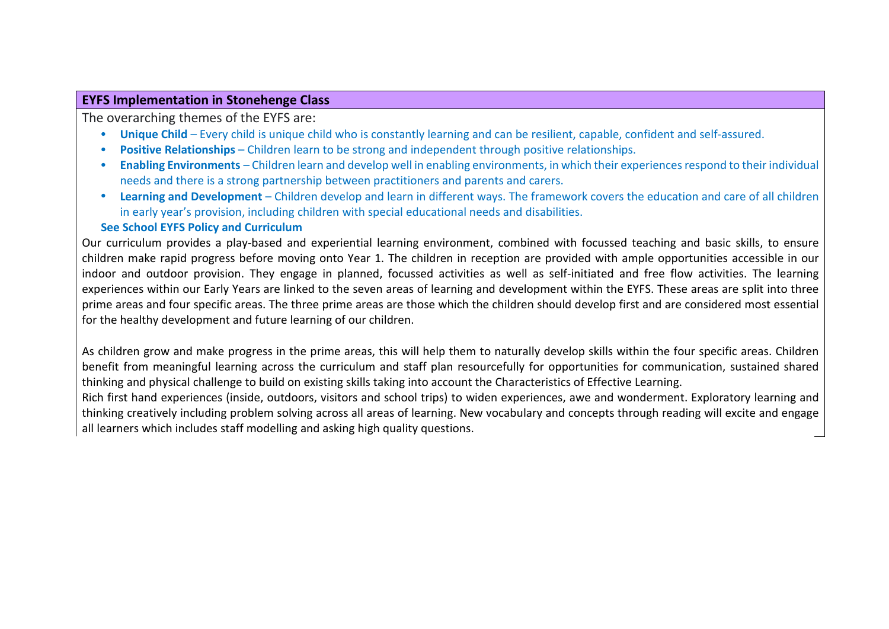## **EYFS Implementation in Stonehenge Class**

The overarching themes of the EYFS are:

- **Unique Child** Every child is unique child who is constantly learning and can be resilient, capable, confident and self-assured.
- **Positive Relationships** Children learn to be strong and independent through positive relationships.
- **Enabling Environments** Children learn and develop well in enabling environments, in which their experiences respond to their individual needs and there is a strong partnership between practitioners and parents and carers.
- **Learning and Development** Children develop and learn in different ways. The framework covers the education and care of all children in early year's provision, including children with special educational needs and disabilities.

## **See School EYFS Policy and Curriculum**

Our curriculum provides a play-based and experiential learning environment, combined with focussed teaching and basic skills, to ensure children make rapid progress before moving onto Year 1. The children in reception are provided with ample opportunities accessible in our indoor and outdoor provision. They engage in planned, focussed activities as well as self-initiated and free flow activities. The learning experiences within our Early Years are linked to the seven areas of learning and development within the EYFS. These areas are split into three prime areas and four specific areas. The three prime areas are those which the children should develop first and are considered most essential for the healthy development and future learning of our children.

As children grow and make progress in the prime areas, this will help them to naturally develop skills within the four specific areas. Children benefit from meaningful learning across the curriculum and staff plan resourcefully for opportunities for communication, sustained shared thinking and physical challenge to build on existing skills taking into account the Characteristics of Effective Learning.

Rich first hand experiences (inside, outdoors, visitors and school trips) to widen experiences, awe and wonderment. Exploratory learning and thinking creatively including problem solving across all areas of learning. New vocabulary and concepts through reading will excite and engage all learners which includes staff modelling and asking high quality questions.